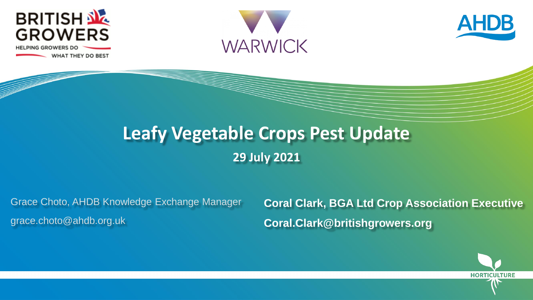

**WHAT THEY DO BEST** 





### **Leafy Vegetable Crops Pest Update 29 July 2021**

Grace Choto, AHDB Knowledge Exchange Manager grace.choto@ahdb.org.uk

**Coral Clark, BGA Ltd Crop Association Executive Coral.Clark@britishgrowers.org**

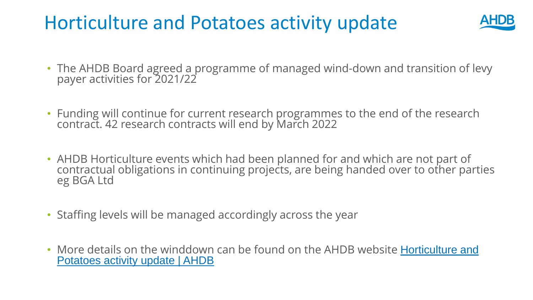## Horticulture and Potatoes activity update



- The AHDB Board agreed a programme of managed wind-down and transition of levy payer activities for 2021/22
- Funding will continue for current research programmes to the end of the research contract. 42 research contracts will end by March 2022
- AHDB Horticulture events which had been planned for and which are not part of contractual obligations in continuing projects, are being handed over to other parties eg BGA Ltd
- Staffing levels will be managed accordingly across the year
- [More details on the winddown can be found on the AHDB website](https://ahdb.org.uk/horticulture-and-potatoes-activity-update) Horticulture and Potatoes activity update | AHDB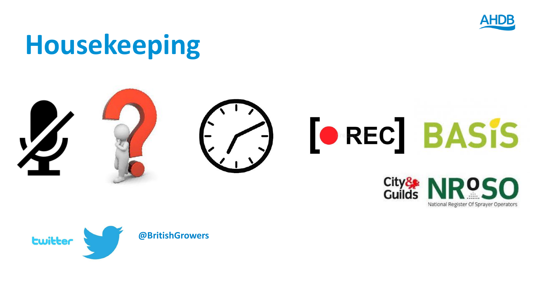

National Register Of Sprayer Operators

# **Housekeeping**



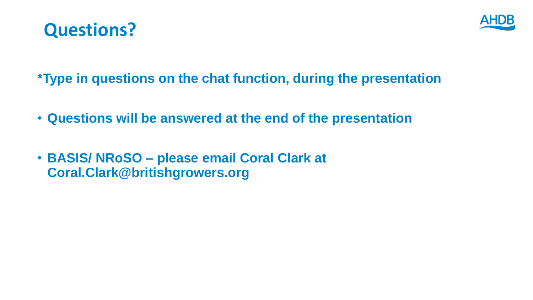



**\*Type in questions on the chat function, during the presentation**

- **Questions will be answered at the end of the presentation**
- **BASIS/ NRoSO – please email Coral Clark at Coral.Clark@britishgrowers.org**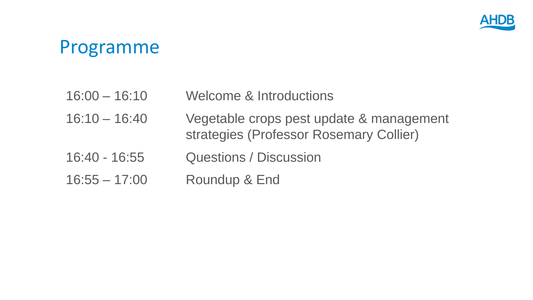

### Programme

- 16:00 16:10 Welcome & Introductions
- 16:10 16:40 Vegetable crops pest update & management strategies (Professor Rosemary Collier)
- 16:40 16:55 Questions / Discussion
- 16:55 17:00 Roundup & End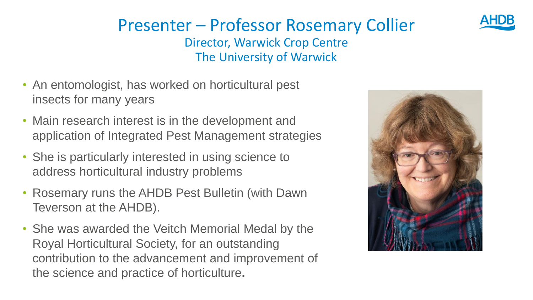#### Presenter – Professor Rosemary Collier Director, Warwick Crop Centre The University of Warwick

- An entomologist, has worked on horticultural pest insects for many years
- Main research interest is in the development and application of Integrated Pest Management strategies
- She is particularly interested in using science to address horticultural industry problems
- Rosemary runs the AHDB Pest Bulletin (with Dawn Teverson at the AHDB).
- She was awarded the Veitch Memorial Medal by the Royal Horticultural Society, for an outstanding contribution to the advancement and improvement of the science and practice of horticulture**.**